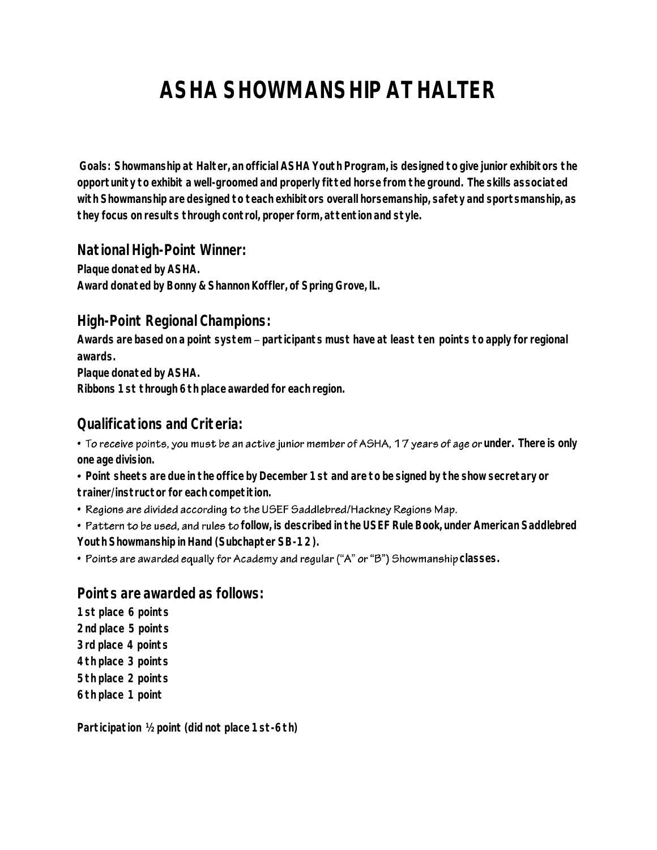# **ASHA SHOWMANSHIP AT HALTER**

**Goals: Showmanship at Halter, an official ASHA Youth Program, is designed to give junior exhibitors the opportunity to exhibit a well-groomed and properly fitted horse from the ground. The skills associated with Showmanship are designed to teach exhibitors overall horsemanship, safety and sportsmanship, as they focus on results through control, proper form, attention and style.** 

#### **National High-Point Winner:**

**Plaque donated by ASHA. Award donated by Bonny & Shannon Koffler, of Spring Grove, IL.**

#### **High-Point Regional Champions:**

Awards are based on a point system - participants must have at least ten points to apply for regional **awards.** 

**Plaque donated by ASHA.** 

**Ribbons 1st through 6th place awarded for each region.** 

## **Qualifications and Criteria:**

• To receive points, you must be an active junior member of ASHA, 17 years of age or under. There is only **one age division.** 

 **Point sheets are due in the office by December 1st and are to be signed by the show secretary or trainer/instructor for each competition.** 

• Regions are divided according to the USEF Saddlebred/Hackney Regions Map.

**• Pattern to be used, and rules to** follow, is described in the USEF Rule Book, under American Saddlebred **Youth Showmanship in Hand (Subchapter SB-12).** 

• Points are awarded equally for Academy and regular ("A" or "B") Showmanship classes.

#### **Points are awarded as follows:**

**1st place 6 points 2nd place 5 points 3rd place 4 points 4th place 3 points 5th place 2 points 6th place 1 point** 

**Participation ½ point (did not place 1st-6th)**